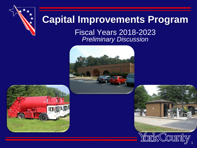

## **Capital Improvements Program**

Fiscal Years 2018-2023 *Preliminary Discussion* 





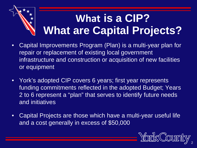# **What is a CIP? What are Capital Projects?**

- Capital Improvements Program (Plan) is a multi-year plan for repair or replacement of existing local government infrastructure and construction or acquisition of new facilities or equipment
- York's adopted CIP covers 6 years; first year represents funding commitments reflected in the adopted Budget; Years 2 to 6 represent a "plan" that serves to identify future needs and initiatives
- Capital Projects are those which have a multi-year useful life and a cost generally in excess of \$50,000

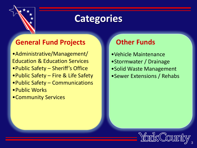

## **Categories**

## **General Fund Projects**

- •Administrative/Management/ Education & Education Services
- •Public Safety Sheriff's Office
- •Public Safety Fire & Life Safety
- •Public Safety Communications
- •Public Works
- •Community Services

## **Other Funds**

- •Vehicle Maintenance
- •Stormwater / Drainage
- •Solid Waste Management
- •Sewer Extensions / Rehabs

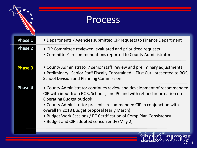|                | Process                                                                                                                                                                                                                                                                                                                                                                                                                              |
|----------------|--------------------------------------------------------------------------------------------------------------------------------------------------------------------------------------------------------------------------------------------------------------------------------------------------------------------------------------------------------------------------------------------------------------------------------------|
| <b>Phase 1</b> | • Departments / Agencies submitted CIP requests to Finance Department                                                                                                                                                                                                                                                                                                                                                                |
| <b>Phase 2</b> | • CIP Committee reviewed, evaluated and prioritized requests<br>• Committee's recommendations reported to County Administrator                                                                                                                                                                                                                                                                                                       |
| <b>Phase 3</b> | • County Administrator / senior staff review and preliminary adjustments<br>• Preliminary "Senior Staff Fiscally Constrained – First Cut" presented to BOS,<br><b>School Division and Planning Commission</b>                                                                                                                                                                                                                        |
| <b>Phase 4</b> | • County Administrator continues review and development of recommended<br>CIP with input from BOS, Schools, and PC and with refined information on<br><b>Operating Budget outlook</b><br>• County Administrator presents recommended CIP in conjunction with<br>overall FY 2018 Budget proposal (early March)<br>• Budget Work Sessions / PC Certification of Comp Plan Consistency<br>• Budget and CIP adopted concurrently (May 2) |
|                |                                                                                                                                                                                                                                                                                                                                                                                                                                      |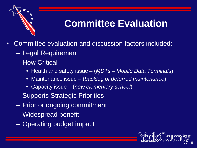

## **Committee Evaluation**

- Committee evaluation and discussion factors included:
	- Legal Requirement
	- How Critical
		- Health and safety issue (*MDTs – Mobile Data Terminals*)
		- Maintenance issue (*backlog of deferred maintenance*)
		- Capacity issue (*new elementary school*)
	- Supports Strategic Priorities
	- Prior or ongoing commitment
	- Widespread benefit
	- Operating budget impact

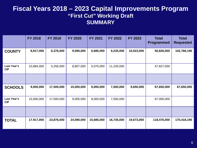|                           | <b>FY 2018</b> | FY 2019    | <b>FY 2020</b> | FY 2021    | FY 2022    | <b>FY 2023</b> | <b>Total</b><br><b>Programmed</b> | <b>Total</b><br><b>Requested</b> |
|---------------------------|----------------|------------|----------------|------------|------------|----------------|-----------------------------------|----------------------------------|
| <b>COUNTY</b>             | 8,917,000      | 6,376,000  | 9,590,000      | 6,685,000  | 9,235,000  | 10,023,000     | 50,826,000                        | 102,768,190                      |
| Last Year's<br><b>CIP</b> | 10,884,000     | 5,256,000  | 8,807,000      | 5,070,000  | 11,235,000 |                | 47,827,000                        |                                  |
|                           |                |            |                |            |            |                |                                   |                                  |
| <b>SCHOOLS</b>            | 9,000,000      | 17,500,000 | 15,000,000     | 9,000,000  | 7,500,000  | 9,650,000      | 67,650,000                        | 67,650,000                       |
| Last Year's<br><b>CIP</b> | 15,000,000     | 17,500,000 | 9,000,000      | 9,000,000  | 7,500,000  |                | 67,000,000                        |                                  |
|                           |                |            |                |            |            |                |                                   |                                  |
| <b>TOTAL</b>              | 17.917,000     | 23,876,000 | 24,590,000     | 15,685,000 | 16,735,000 | 19,673,000     | 118,476,000                       | 170,418,190                      |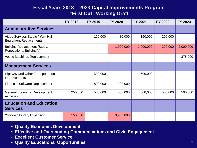|                                                                    | FY 2018 | FY 2019 | <b>FY 2020</b> | FY 2021   | FY 2022 | FY 2023   |
|--------------------------------------------------------------------|---------|---------|----------------|-----------|---------|-----------|
| <b>Administrative Services</b>                                     |         |         |                |           |         |           |
| Video Services Studio / York Hall<br><b>Equipment Replacements</b> |         | 120,000 | 80,000         | 150,000   | 200,000 |           |
| <b>Building Replacement (Study,</b><br>Renovations, Building(s))   |         |         | 1,000,000      | 1,000,000 | 300,000 | 2,000,000 |
| <b>Voting Machines Replacement</b>                                 |         |         |                |           |         | 375,000   |
| <b>Management Services</b>                                         |         |         |                |           |         |           |
| <b>Highway and Other Transportation</b><br>Improvements            |         | 500,000 |                | 500,000   |         |           |
| <b>Financial Software Replacement</b>                              |         | 800,000 | 200,000        |           |         |           |
| <b>General Economic Development</b><br><b>Activities</b>           | 250,000 | 500,000 | 500,000        | 500,000   | 500,000 | 500,000   |
| <b>Education and Education</b><br><b>Services</b>                  |         |         |                |           |         |           |
| <b>Yorktown Library Expansion</b>                                  | 150,000 |         | 3,900,000      |           |         |           |

- **Quality Economic Development**
- **Effective and Outstanding Communications and Civic Engagement**
- **Excellent Customer Service**
- **Quality Educational Opportunities** 7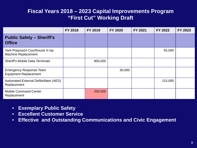|                                                                | <b>FY 2018</b> | <b>FY 2019</b> | <b>FY 2020</b> | FY 2021 | FY 2022 | FY 2023 |
|----------------------------------------------------------------|----------------|----------------|----------------|---------|---------|---------|
| <b>Public Safety - Sheriff's</b><br><b>Office</b>              |                |                |                |         |         |         |
| York-Poquoson Courthouse X-ray<br><b>Machine Replacement</b>   |                |                |                |         | 55,000  |         |
| <b>Sheriff's Mobile Data Terminals</b>                         |                | 900,000        |                |         |         |         |
| <b>Emergency Response Team</b><br><b>Equipment Replacement</b> |                |                | 30,000         |         |         |         |
| Automated External Defibrillator (AED)<br>Replacement          |                |                |                |         | 115,000 |         |
| <b>Mobile Command Center</b><br>Replacement                    |                | 250,000        |                |         |         |         |

- **Exemplary Public Safety**
- **Excellent Customer Service**
- **Effective and Outstanding Communications and Civic Engagement**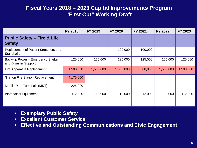|                                                             | <b>FY 2018</b> | FY 2019   | <b>FY 2020</b> | FY 2021   | FY 2022   | FY 2023   |
|-------------------------------------------------------------|----------------|-----------|----------------|-----------|-----------|-----------|
| <b>Public Safety - Fire &amp; Life</b><br><b>Safety</b>     |                |           |                |           |           |           |
| Replacement of Patient Stretchers and<br><b>Stairchairs</b> |                |           | 100,000        | 100,000   |           |           |
| Back-up Power - Emergency Shelter<br>and Disaster Support   | 125,000        | 125,000   | 125,000        | 125,000   | 125,000   | 125,000   |
| <b>Fire Apparatus Replacement</b>                           | 1,500,000      | 1,500,000 | 1,500,000      | 1,500,000 | 1,500,000 | 1,500,000 |
| <b>Grafton Fire Station Replacement</b>                     | 4,175,000      |           |                |           |           |           |
| Mobile Data Terminals (MDT)                                 | 225,000        |           |                |           |           |           |
| <b>Biomedical Equipment</b>                                 | 112,000        | 112,000   | 112,000        | 112,000   | 112,000   | 112,000   |

- **Exemplary Public Safety**
- **Excellent Customer Service**
- **Effective and Outstanding Communications and Civic Engagement**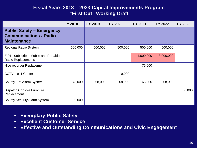|                                                                                         | <b>FY 2018</b> | FY 2019 | <b>FY 2020</b> | <b>FY 2021</b> | FY 2022   | FY 2023 |
|-----------------------------------------------------------------------------------------|----------------|---------|----------------|----------------|-----------|---------|
| <b>Public Safety - Emergency</b><br><b>Communications / Radio</b><br><b>Maintenance</b> |                |         |                |                |           |         |
| <b>Regional Radio System</b>                                                            | 500,000        | 500,000 | 500,000        | 500,000        | 500,000   |         |
| E-911 Subscriber Mobile and Portable<br><b>Radio Replacements</b>                       |                |         |                | 4,000,000      | 3,000,000 |         |
| Nice recorder Replacement                                                               |                |         |                | 75,000         |           |         |
| CCTV-911 Center                                                                         |                |         | 10,000         |                |           |         |
| <b>County Fire Alarm System</b>                                                         | 75,000         | 68,000  | 68,000         | 68,000         | 68,000    |         |
| <b>Dispatch Console Furniture</b><br>Replacement                                        |                |         |                |                |           | 56,000  |
| <b>County Security Alarm System</b>                                                     | 100,000        |         |                |                |           |         |

- **Exemplary Public Safety**
- **Excellent Customer Service**
- **Effective and Outstanding Communications and Civic Engagement**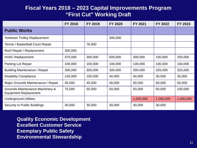|                                                                 | <b>FY 2018</b> | FY 2019 | <b>FY 2020</b> | FY 2021   | FY 2022   | FY 2023   |
|-----------------------------------------------------------------|----------------|---------|----------------|-----------|-----------|-----------|
| <b>Public Works</b>                                             |                |         |                |           |           |           |
| <b>Yorktown Trolley Replacement</b>                             |                |         | 300,000        |           |           |           |
| Tennis / Basketball Court Repair                                |                | 76,000  |                |           |           |           |
| Roof Repair / Replacement                                       | 300,000        |         |                |           |           |           |
| <b>HVAC Replacement</b>                                         | 375,000        | 300,000 | 500,000        | 300,000   | 100,000   | 250,000   |
| Parking Lot Repair                                              | 100,000        | 100,000 | 100,000        | 100,000   | 100,000   | 100,000   |
| <b>Building Maintenance / Repair</b>                            | 300,000        | 300,000 | 300,000        | 300,000   | 325,000   | 325,000   |
| <b>Disability Compliance</b>                                    | 140,000        | 100,000 | 40,000         | 40,000    | 30,000    | 30,000    |
| Major Grounds Maintenance / Repair                              | 35,000         | 45,000  | 30,000         | 50,000    | 50,000    | 50,000    |
| Grounds Maintenance Machinery &<br><b>Equipment Replacement</b> | 75,000         | 50,000  | 50,000         | 50,000    | 50,000    | 100,000   |
| <b>Underground Utilities</b>                                    |                |         |                | 1,000,000 | 1,000,000 | 1,000,000 |
| <b>Security in Public Buildings</b>                             | 30,000         | 30,000  | 30,000         | 30,000    | 30,000    |           |

**Quality Economic Development Excellent Customer Service Exemplary Public Safety Environmental Stewardship**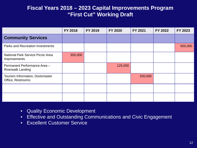|                                                          | <b>FY 2018</b> | FY 2019 | <b>FY 2020</b> | FY 2021 | FY 2022 | FY 2023 |
|----------------------------------------------------------|----------------|---------|----------------|---------|---------|---------|
| <b>Community Services</b>                                |                |         |                |         |         |         |
| <b>Parks and Recreation Investments</b>                  |                |         |                |         |         | 500,000 |
| <b>National Park Service Picnic Area</b><br>Improvements | 350,000        |         |                |         |         |         |
| Permanent Performance Area -<br><b>Riverwalk Landing</b> |                |         | 125,000        |         |         |         |
| Tourism Information, Dockmaster<br>Office, Restrooms     |                |         |                | 250,000 |         |         |
|                                                          |                |         |                |         |         |         |
|                                                          |                |         |                |         |         |         |

- Quality Economic Development
- Effective and Outstanding Communications and Civic Engagement
- Excellent Customer Service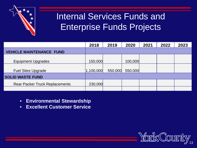

## Internal Services Funds and Enterprise Funds Projects

|                                       | 2018      | 2019    | 2020    | 2021 | 2022 | 2023 |
|---------------------------------------|-----------|---------|---------|------|------|------|
| <b>VEHICLE MAINTENANCE FUND</b>       |           |         |         |      |      |      |
| <b>Equipment Upgrades</b>             | 150,000   |         | 100,000 |      |      |      |
| <b>Fuel Sites Upgrade</b>             | 1,100,000 | 550,000 | 550,000 |      |      |      |
| <b>SOLID WASTE FUND</b>               |           |         |         |      |      |      |
| <b>Rear Packer Truck Replacements</b> | 230,000   |         |         |      |      |      |
|                                       |           |         |         |      |      |      |

- **Environmental Stewardship**
- **Excellent Customer Service**

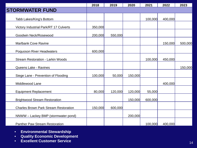|                                              | 2018    | 2019    | 2020    | 2021    | 2022    | 2023    |
|----------------------------------------------|---------|---------|---------|---------|---------|---------|
| <b>STORMWATER FUND</b>                       |         |         |         |         |         |         |
| Tabb Lakes/King's Bottom                     |         |         |         | 100,000 | 400,000 |         |
| Victory Industrial Park/RT 17 Culverts       | 350,000 |         |         |         |         |         |
| Goodwin Neck/Rosewood                        | 200,000 | 550,000 |         |         |         |         |
| <b>Marlbank Cove Ravine</b>                  |         |         |         |         | 150,000 | 500,000 |
| <b>Poquoson River Headwaters</b>             | 600,000 |         |         |         |         |         |
| <b>Stream Restoration - Larkin Woods</b>     |         |         |         | 100,000 | 450,000 |         |
| <b>Queens Lake - Ravines</b>                 |         |         |         |         |         | 150,000 |
| Siege Lane - Prevention of Flooding          | 100,000 | 50,000  | 150,000 |         |         |         |
| Middlewood Lane                              |         |         |         |         | 400,000 |         |
| <b>Equipment Replacement</b>                 | 80,000  | 120,000 | 120,000 | 55,000  |         |         |
| <b>Brightwood Stream Restoration</b>         |         |         | 150,000 | 600,000 |         |         |
| <b>Charles Brown Park Stream Restoration</b> | 150,000 | 600,000 |         |         |         |         |
| NNWW - Lackey BMP (stormwater pond)          |         |         | 200,000 |         |         |         |
| <b>Panther Paw Stream Restoration</b>        |         |         |         | 100,000 | 400,000 |         |

- **Environmental Stewardship**
- **Quality Economic Development**
- **Excellent Customer Service** <sup>14</sup>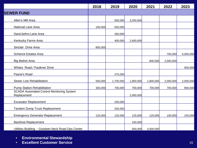|                                                                 | 2018    | 2019      | 2020      | 2021      | 2022      | 2023      |
|-----------------------------------------------------------------|---------|-----------|-----------|-----------|-----------|-----------|
| <b>SEWER FUND</b>                                               |         |           |           |           |           |           |
| Allen's Mill Area                                               |         | 500,000   | 3,200,000 |           |           |           |
| National Lane Area                                              | 100,000 | 550,000   |           |           |           |           |
| Dare/Jethro Lane Area                                           |         | 450,000   |           |           |           |           |
| Kentucky Farms Area                                             |         | 400,000   | 2,600,000 |           |           |           |
| Sinclair Drive Area                                             | 800,000 |           |           |           |           |           |
| <b>Schenck Estates Area</b>                                     |         |           |           |           | 700,000   | 5,000,000 |
| <b>Big Bethel Area</b>                                          |         |           |           | 800,000   | 2,500,000 |           |
| Whites Road / Faulkner Drive                                    |         |           |           |           |           | 500,000   |
| Payne's Road                                                    |         | 275,000   |           |           |           |           |
| Sewer Line Rehabilitation                                       | 500,000 | 1,700,000 | 1,800,000 | 1,800,000 | 2,000,000 | 2,000,000 |
| <b>Pump Station Rehabilitation</b>                              | 300,000 | 700,000   | 700,000   | 700,000   | 700,000   | 800,000   |
| <b>SCADA Automated Control Monitoring System</b><br>Replacement |         |           | 2,000,000 |           |           |           |
| <b>Excavator Replacement</b>                                    |         | 250,000   |           |           |           |           |
| Tandem Dump Truck Replacement                                   |         | 250,000   |           |           |           |           |
| <b>Emergency Generator Replacement</b>                          | 125,000 | 125,000   | 125,000   | 125,000   | 150,000   | 150,000   |
| <b>Backhoe Replacement</b>                                      |         |           | 100,000   |           |           |           |
| Utilities Building - Goodwin Neck Road Ops Center               |         |           | 500,000   | 4,000,000 |           |           |

- **Environmental Stewardship**
- **Excellent Customer Service** 15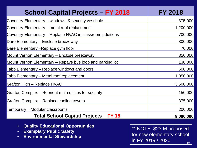| <b>School Capital Projects - FY 2018</b>                  | <b>FY 2018</b> |
|-----------------------------------------------------------|----------------|
| Coventry Elementary – windows & security vestibule        | 375,000        |
| Coventry Elementary – metal roof replacement              | 1,200,000      |
| Coventry Elementary – Replace HVAC in classroom additions | 700,000        |
| Dare Elementary – Enclose breezeway                       | 300,000        |
| Dare Elementary –Replace gym floor                        | 70,000         |
| Mount Vernon Elementary – Enclose breezeway               | 350,000        |
| Mount Vernon Elementary – Repave bus loop and parking lot | 130,000        |
| Tabb Elementary – Replace windows and doors               | 600,000        |
| Tabb Elementary – Metal roof replacement                  | 1,050,000      |
| Grafton High – Replace HVAC                               | 3,500,000      |
| Grafton Complex – Reorient main offices for security      | 150,000        |
| Grafton Complex – Replace cooling towers                  | 375,000        |
| Temporary – Modular classrooms                            | 200,000        |
| <b>Total School Capital Projects - FY 18</b>              | 9,000,000      |

- **Quality Educational Opportunities**
- **Exemplary Public Safety**
- **Environmental Stewardship**

\*\* NOTE: \$23 M proposed for new elementary school in FY 2019 / 2020  $\frac{16}{16}$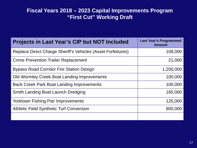| <b>Projects in Last Year's CIP but NOT Included</b>          | <b>Last Year's Programmed</b><br><b>Amount</b> |
|--------------------------------------------------------------|------------------------------------------------|
| Replace Direct Charge Sheriff's Vehicles (Asset Forfeitures) | 108,000                                        |
| <b>Crime Prevention Trailer Replacement</b>                  | 21,000                                         |
| <b>Bypass Road Corridor Fire Station Design</b>              | 1,200,000                                      |
| Old Wormley Creek Boat Landing Improvements                  | 100,000                                        |
| <b>Back Creek Park Boat Landing Improvements</b>             | 100,000                                        |
| Smith Landing Boat Launch Dredging                           | 165,000                                        |
| <b>Yorktown Fishing Pier Improvements</b>                    | 125,000                                        |
| <b>Athletic Field Synthetic Turf Conversion</b>              | 800,000                                        |
|                                                              |                                                |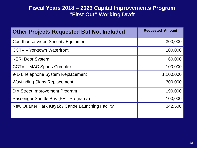| <b>Other Projects Requested But Not Included</b>  | <b>Requested Amount</b> |
|---------------------------------------------------|-------------------------|
| <b>Courthouse Video Security Equipment</b>        | 300,000                 |
| <b>CCTV</b> – Yorktown Waterfront                 | 100,000                 |
| <b>KERI Door System</b>                           | 60,000                  |
| <b>CCTV-MAC Sports Complex</b>                    | 100,000                 |
| 9-1-1 Telephone System Replacement                | 1,100,000               |
| <b>Wayfinding Signs Replacement</b>               | 300,000                 |
| Dirt Street Improvement Program                   | 190,000                 |
| Passenger Shuttle Bus (PRT Programs)              | 100,000                 |
| New Quarter Park Kayak / Canoe Launching Facility | 342,500                 |
|                                                   |                         |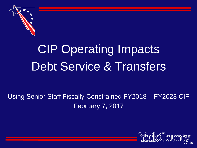

# CIP Operating Impacts Debt Service & Transfers

## Using Senior Staff Fiscally Constrained FY2018 – FY2023 CIP February 7, 2017

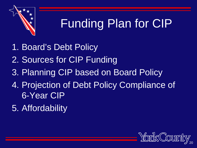

# Funding Plan for CIP

- 1. Board's Debt Policy
- 2. Sources for CIP Funding
- 3. Planning CIP based on Board Policy
- 4. Projection of Debt Policy Compliance of 6-Year CIP
- 5. Affordability

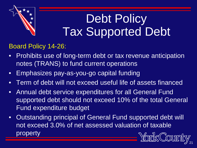

# Debt Policy Tax Supported Debt

### Board Policy 14-26:

- Prohibits use of long-term debt or tax revenue anticipation notes (TRANS) to fund current operations
- Emphasizes pay-as-you-go capital funding
- Term of debt will not exceed useful life of assets financed
- Annual debt service expenditures for all General Fund supported debt should not exceed 10% of the total General Fund expenditure budget
- Outstanding principal of General Fund supported debt will not exceed 3.0% of net assessed valuation of taxable property

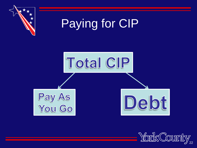

# Paying for CIP



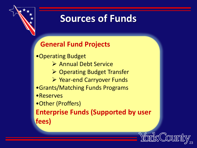

## **Sources of Funds**

## **General Fund Projects**

- •Operating Budget
	- Annual Debt Service
	- **▶ Operating Budget Transfer**
	- $\triangleright$  Year-end Carryover Funds
- •Grants/Matching Funds Programs
- •Reserves
- •Other (Proffers)

**Enterprise Funds (Supported by user fees)**

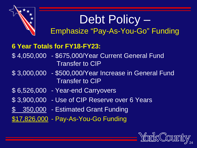## Debt Policy – Emphasize "Pay-As-You-Go" Funding

## **6 Year Totals for FY18-FY23:**

- \$ 4,050,000 \$675,000/Year Current General Fund Transfer to CIP
- \$ 3,000,000 \$500,000/Year Increase in General Fund Transfer to CIP
- \$ 6,526,000 Year-end Carryovers
- \$ 3,900,000 Use of CIP Reserve over 6 Years
- \$ 350,000 Estimated Grant Funding
- \$17,826,000 Pay-As-You-Go Funding

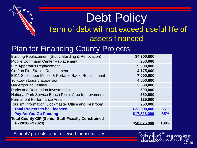## Debt Policy Term of debt will not exceed useful life of assets financed

## Plan for Financing County Projects:

| Building Replacement (Study, Building & Renovation)        | \$4,300,000  |      |
|------------------------------------------------------------|--------------|------|
| <b>Mobile Command Center Replacement</b>                   | 250,000      |      |
| <b>Fire Apparatus Replacement</b>                          | 9,000,000    |      |
| <b>Grafton Fire Station Replacement</b>                    | 4,175,000    |      |
| E911 Subscriber Mobile & Portable Radio Replacement        | 7,000,000    |      |
| <b>Yorktown Library Expansion</b>                          | 4,050,000    |      |
| <b>Underground Utilities</b>                               | 3,000,000    |      |
| <b>Parks and Recreation Investments</b>                    | 500,000      |      |
| National Park Service Beach Picnic Area Improvements       | 350,000      |      |
| Permanent Performance Area                                 | 125,000      |      |
| Tourism Information, Dockmaster Office and Restroom        | 250,000      |      |
| <b>Total Projects to be Financed</b>                       | \$33,000,000 | 65%  |
| <b>Pay-As-You-Go Funding</b>                               | \$17,826,000 | 35%  |
| <b>Total County CIP (Senior Staff Fiscally Constrained</b> |              |      |
| FY2018-FY2023)                                             | \$50,826,000 | 100% |
|                                                            |              |      |

Schools' projects to be reviewed for useful lives.

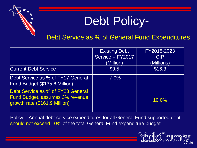

# Debt Policy-

### Debt Service as % of General Fund Expenditures

|                                                                                                       | <b>Existing Debt</b> | FY2018-2023 |
|-------------------------------------------------------------------------------------------------------|----------------------|-------------|
|                                                                                                       | Service - FY2017     | <b>CIP</b>  |
|                                                                                                       | (Million)            | (Millions)  |
| <b>Current Debt Service</b>                                                                           | \$9.5                | \$16.3      |
| Debt Service as % of FY17 General<br>Fund Budget (\$135.6 Million)                                    | $7.0\%$              |             |
| Debt Service as % of FY23 General<br>Fund Budget, assumes 3% revenue<br>growth rate (\$161.9 Million) |                      | 10.0%       |

Policy = Annual debt service expenditures for all General Fund supported debt should not exceed 10% of the total General Fund expenditure budget

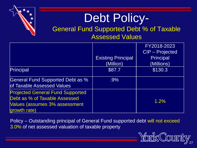

# Debt Policy-

### General Fund Supported Debt % of Taxable Assessed Values

|                                                                                                                           | <b>Existing Principal</b><br>(Million) | FY2018-2023<br>CIP - Projected<br>Principal<br>(Millions) |
|---------------------------------------------------------------------------------------------------------------------------|----------------------------------------|-----------------------------------------------------------|
| <b>Principal</b>                                                                                                          | \$87.7                                 | \$130.3                                                   |
| General Fund Supported Debt as %<br>of Taxable Assessed Values                                                            | $.9\%$                                 |                                                           |
| <b>Projected General Fund Supported</b><br>Debt as % of Taxable Assessed<br>Values (assumes 3% assessment<br>growth rate) |                                        | 1.2%                                                      |

Policy – Outstanding principal of General Fund supported debt will not exceed 3.0% of net assessed valuation of taxable property

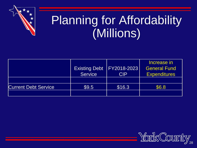

# Planning for Affordability (Millions)

|                             | <b>Service</b> | Existing Debt   FY2018-2023<br><b>CIP</b> | Increase in<br><b>General Fund</b><br><b>Expenditures</b> |
|-----------------------------|----------------|-------------------------------------------|-----------------------------------------------------------|
| <b>Current Debt Service</b> | $\$9.5$        | \$16.3                                    | \$6.8                                                     |

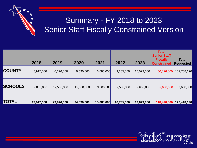

## Summary - FY 2018 to 2023 **Senior Staff Fiscally Constrained Version**

|           |           |            |                                       |                                       |                                      | <b>Total</b><br><b>Senior Staff</b>   |                                                                    |
|-----------|-----------|------------|---------------------------------------|---------------------------------------|--------------------------------------|---------------------------------------|--------------------------------------------------------------------|
| 2018      | 2019      | 2020       | 2021                                  | 2022                                  | 2023                                 | <b>Fiscally</b><br><b>Constrained</b> | <b>Total</b><br><b>Requested</b>                                   |
| 8,917,000 |           |            |                                       |                                       |                                      | 50,826,000                            | 102,768,190                                                        |
|           |           |            |                                       |                                       |                                      |                                       |                                                                    |
|           |           |            |                                       |                                       |                                      |                                       | 67,650,000                                                         |
|           |           |            |                                       |                                       |                                      |                                       |                                                                    |
|           |           |            |                                       |                                       |                                      |                                       | 170,418,190                                                        |
|           | 9,000,000 | 17,917,000 | 6,376,000<br>17,500,000<br>23,876,000 | 9,590,000<br>15,000,000<br>24,590,000 | 6,685,000<br>9,000,000<br>15,685,000 | 9,235,000<br>7,500,000<br>16,735,000  | 10,023,000<br>67,650,000<br>9,650,000<br>118,476,000<br>19,673,000 |

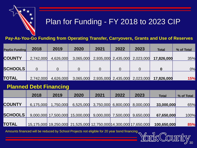

## Plan for Funding - FY 2018 to 2023 CIP

**Pay-As-You-Go Funding from Operating Transfer, Carryovers, Grants and Use of Reserves**

| <b>PayGo Funding</b> | 2018      | 2019      | 2020      | 2021 | 2022 | 2023                          | <b>Total</b>                                                      | % of Total |
|----------------------|-----------|-----------|-----------|------|------|-------------------------------|-------------------------------------------------------------------|------------|
| <b>COUNTY</b>        | 2,742,000 | 4,626,000 | 3,065,000 |      |      | 2,935,000 2,435,000 2,023,000 | 17,826,000                                                        | 35%        |
| <b>SCHOOLS</b>       |           |           |           |      |      |                               |                                                                   | 0%         |
| <b>TOTAL</b>         | 2,742,000 | 4,626,000 |           |      |      |                               | $3,065,000$ $2,935,000$ $2,435,000$ $2,023,000$ <b>17,826,000</b> | 15%        |

### **Planned Debt Financing**

|                | 2018      | 2019      | 2020                                                              | 2021 | 2022 | 2023                          | <b>Total</b> | % of Total |
|----------------|-----------|-----------|-------------------------------------------------------------------|------|------|-------------------------------|--------------|------------|
| <b>COUNTY</b>  | 6,175,000 | 1,750,000 | 6,525,000                                                         |      |      | 3,750,000 6,800,000 8,000,000 | 33,000,000   | 65%        |
| <b>SCHOOLS</b> |           |           | 9,000,000 17,500,000 15,000,000                                   |      |      | 9,000,000 7,500,000 9,650,000 | 67,650,000   | 100%       |
| TOTAL          |           |           | 15,175,000 19,250,000 21,525,000 12,750,000 14,300,000 17,650,000 |      |      |                               | 100,650,000  | 85%        |

Amounts financed will be reduced by School Projects not eligible for 20 year bond financing.

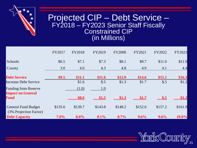

## Projected CIP – Debt Service – FY2018 - FY2023 Senior Staff Fiscally<br>Constrained CIP (in Millions)

|                                                         | FY2017  | <b>FY2018</b> | FY2019       | <b>FY2000</b> | FY2021       | FY2022  | <b>FY2023</b> |
|---------------------------------------------------------|---------|---------------|--------------|---------------|--------------|---------|---------------|
| Schools                                                 | \$6.5   | \$7.1         | \$7.3        | \$8.1         | \$9.7        | \$11.0  | \$11.9        |
| County                                                  | 3.0     | 4.0           | 4.3          | 4.8           | 4.9          | 4.1     | 4.4           |
| <b>Debt Service</b>                                     | \$9.5   | \$11.1        | \$11.6       | \$12.9        | \$14.6       | \$15.1  | \$16.3        |
| <b>Increase Debt Service</b>                            |         | \$1.6         | $\$\cdot5$   | \$1.3         | \$1.7        | $\$\,5$ | \$1.2         |
| <b>Funding from Reserve</b><br><b>Impact on General</b> |         | (1.0)         | 1.0          |               |              |         |               |
| <b>Fund</b>                                             |         | \$0.6         | <u>\$1.5</u> | <b>\$1.3</b>  | <b>\$1.7</b> | \$.5    | \$1.2         |
| <b>General Fund Budget</b><br>(3% Projection Factor)    | \$135.6 | \$139.7       | \$143.8      | \$148.2       | \$152.6      | \$157.2 | \$161.9       |
| <b>Debt Capacity</b>                                    | $7.0\%$ | 8.0%          | 8.1%         | 8.7%          | 9.6%         | 9.6%    | 10.0%         |

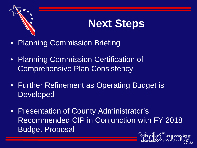

# **Next Steps**

- Planning Commission Briefing
- Planning Commission Certification of Comprehensive Plan Consistency
- Further Refinement as Operating Budget is Developed
- Presentation of County Administrator's Recommended CIP in Conjunction with FY 2018 Budget Proposal

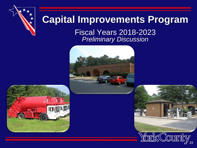

## **Capital Improvements Program**

Fiscal Years 2018-2023 *Preliminary Discussion* 





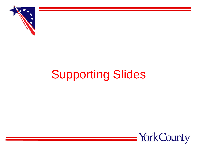

# Supporting Slides

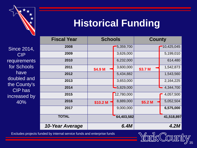

## **Historical Funding**

|           | <b>Fiscal Year</b> | <b>Schools</b> |              | <b>County</b> |             |
|-----------|--------------------|----------------|--------------|---------------|-------------|
| 4,        | 2008               |                | 15,359,700   |               | 10,425,045  |
|           | 2009               |                | 3,626,000    |               | 5,199,010   |
| nts       | 2010               |                | 6,232,000    |               | 614,480     |
| ls.       | 2011               | \$4.9 M        | 3,600,000    | \$3.7 M       | 1,542,873   |
|           | 2012               |                | 5,434,882    |               | 1,543,560   |
| nd<br>y's | 2013               |                | 3,653,000    |               | 2,164,225   |
|           | 2014               |                | $-5,829,000$ |               | 4,344,700   |
| by        | 2015               |                | 12,780,000   |               | 4,057,500   |
|           | 2016               | \$10.2 M       | 8,889,000    | \$5.2 M       | 5,052,504   |
|           | 2017               |                | 9,000,000    |               | 6,575,000   |
|           | <b>TOTAL</b>       |                | 64,403,582   |               | 41,518,897  |
|           | 10-Year Average    |                | 6.4M         |               | <b>4.2M</b> |

Since 201 CIP requiremen for Schoo have doubled a the County CIP has increased 40%



Excludes projects funded by internal service funds and enterprise funds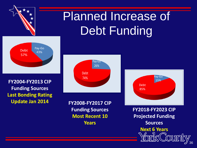

**Last Bonding Rating Update Jan 2014**

**FY2008-FY2017 CIP Funding Sources Most Recent 10 Years**

**FY2018-FY2023 CIP Projected Funding Sources Next 6 Years**

36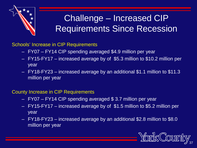

## Challenge – Increased CIP Requirements Since Recession

Schools' Increase in CIP Requirements

- FY07 FY14 CIP spending averaged \$4.9 million per year
- FY15-FY17 increased average by of \$5.3 million to \$10.2 million per year
- FY18-FY23 increased average by an additional \$1.1 million to \$11.3 million per year

### County Increase in CIP Requirements

- FY07 FY14 CIP spending averaged \$ 3.7 million per year
- FY15-FY17 increased average by of \$1.5 million to \$5.2 million per year
- FY18-FY23 increased average by an additional \$2.8 million to \$8.0 million per year